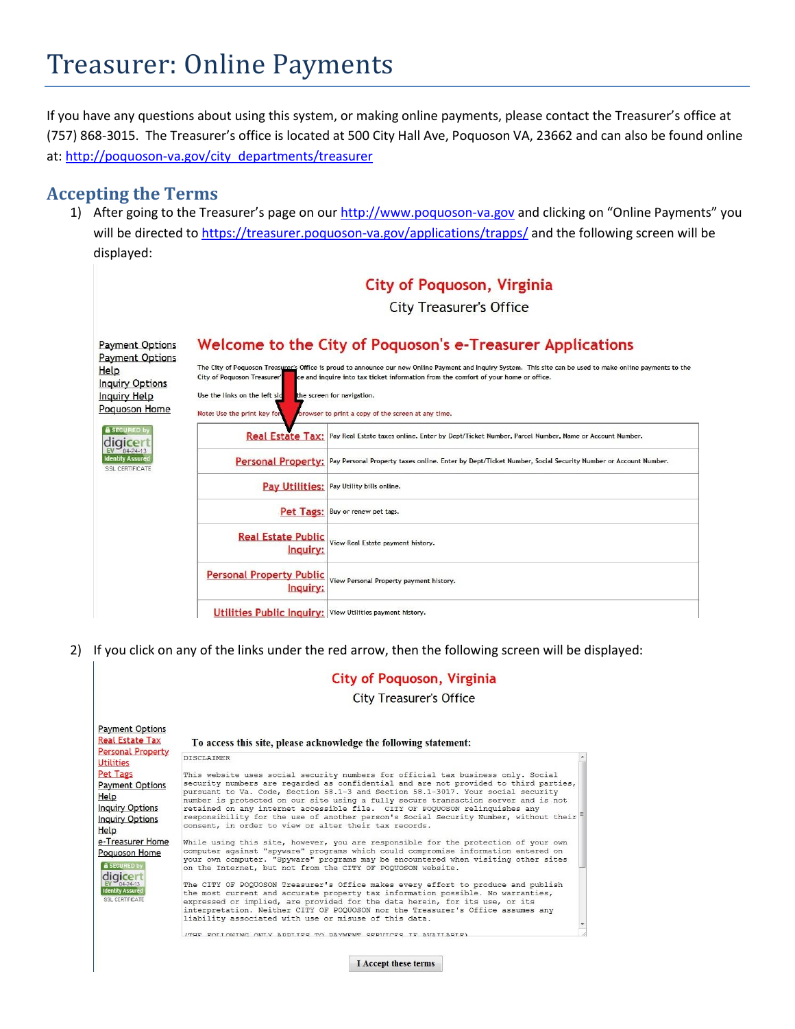If you have any questions about using this system, or making online payments, please contact the Treasurer's office at (757) 868-3015. The Treasurer's office is located at 500 City Hall Ave, Poquoson VA, 23662 and can also be found online at: [http://poquoson-va.gov/city\\_departments/treasurer](http://poquoson-va.gov/city_departments/treasurer)

### **Accepting the Terms**

1) After going to the Treasurer's page on our [http://www.poquoson-va.gov](http://www.poquoson-va.gov/) and clicking on "Online Payments" you will be directed to<https://treasurer.poquoson-va.gov/applications/trapps/> and the following screen will be displayed:



2) If you click on any of the links under the red arrow, then the following screen will be displayed:

|                                                                                                                                    | <b>City of Poquoson, Virginia</b><br><b>City Treasurer's Office</b>                                                                                                                                                                                                                                                                                                                                                                                                                                                                                                                                                                                                                                                             |  |
|------------------------------------------------------------------------------------------------------------------------------------|---------------------------------------------------------------------------------------------------------------------------------------------------------------------------------------------------------------------------------------------------------------------------------------------------------------------------------------------------------------------------------------------------------------------------------------------------------------------------------------------------------------------------------------------------------------------------------------------------------------------------------------------------------------------------------------------------------------------------------|--|
| <b>Payment Options</b><br><b>Real Estate Tax</b><br><b>Personal Property</b>                                                       | To access this site, please acknowledge the following statement:<br><b>DISCLAIMER</b>                                                                                                                                                                                                                                                                                                                                                                                                                                                                                                                                                                                                                                           |  |
| <b>Utilities</b><br>Pet Tags<br><b>Payment Options</b><br>Help<br><b>Inquiry Options</b><br><b>Inquiry Options</b><br>Help         | This website uses social security numbers for official tax business only. Social<br>security numbers are regarded as confidential and are not provided to third parties,<br>pursuant to Va. Code, Section 58.1-3 and Section 58.1-3017. Your social security<br>number is protected on our site using a fully secure transaction server and is not<br>retained on any internet accessible file. CITY OF POQUOSON relinquishes any<br>responsibility for the use of another person's Social Security Number, without their<br>consent, in order to view or alter their tax records.                                                                                                                                              |  |
| e-Treasurer Home<br>Poquoson Home<br><b>A SECURED by</b><br>digicer<br>$04 - 24 - 13$<br><b>Identity Assure</b><br>SSL CERTIFICATE | While using this site, however, you are responsible for the protection of your own<br>computer against "spyware" programs which could compromise information entered on<br>your own computer. "Spyware" programs may be encountered when visiting other sites<br>on the Internet, but not from the CITY OF POOUOSON website.<br>The CITY OF POQUOSON Treasurer's Office makes every effort to produce and publish<br>the most current and accurate property tax information possible. No warranties,<br>expressed or implied, are provided for the data herein, for its use, or its<br>interpretation. Neither CITY OF POQUOSON nor the Treasurer's Office assumes any<br>liability associated with use or misuse of this data. |  |
|                                                                                                                                    | FOLLOWING ONLY APPLIFS TO PAYMENT SERVICES                                                                                                                                                                                                                                                                                                                                                                                                                                                                                                                                                                                                                                                                                      |  |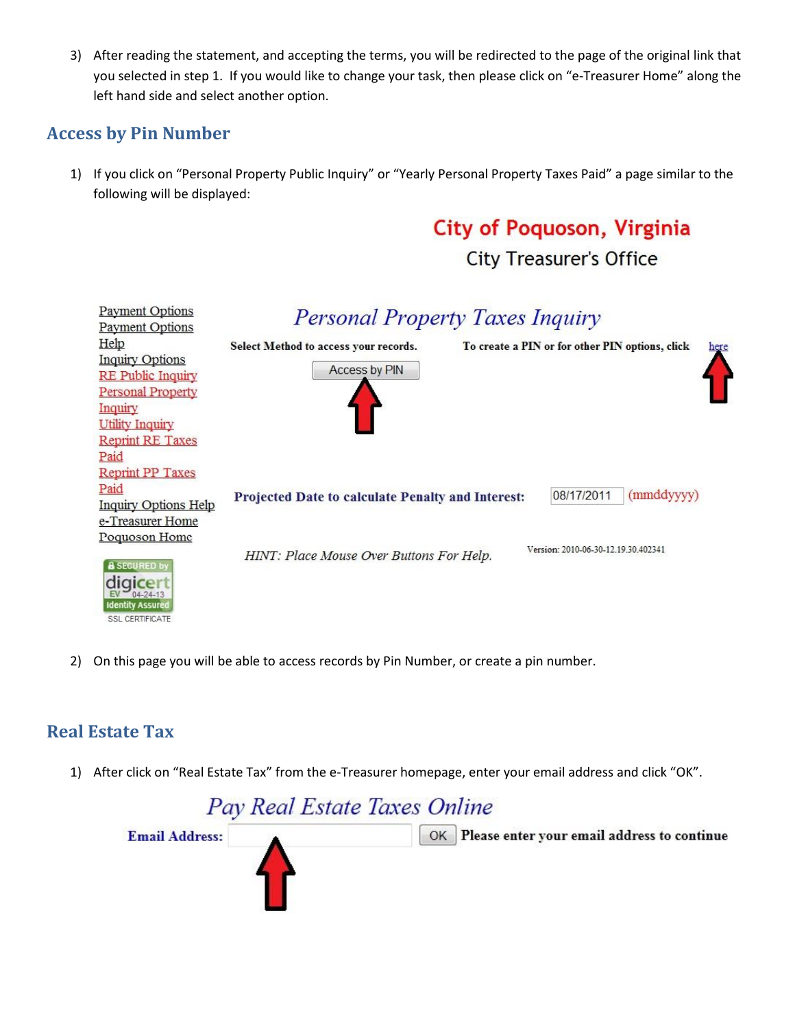3) After reading the statement, and accepting the terms, you will be redirected to the page of the original link that you selected in step 1. If you would like to change your task, then please click on "e-Treasurer Home" along the left hand side and select another option.

## **Access by Pin Number**

1) If you click on "Personal Property Public Inquiry" or "Yearly Personal Property Taxes Paid" a page similar to the following will be displayed:

# **City of Poquoson, Virginia**

**City Treasurer's Office** 



2) On this page you will be able to access records by Pin Number, or create a pin number.

## **Real Estate Tax**

1) After click on "Real Estate Tax" from the e-Treasurer homepage, enter your email address and click "OK".

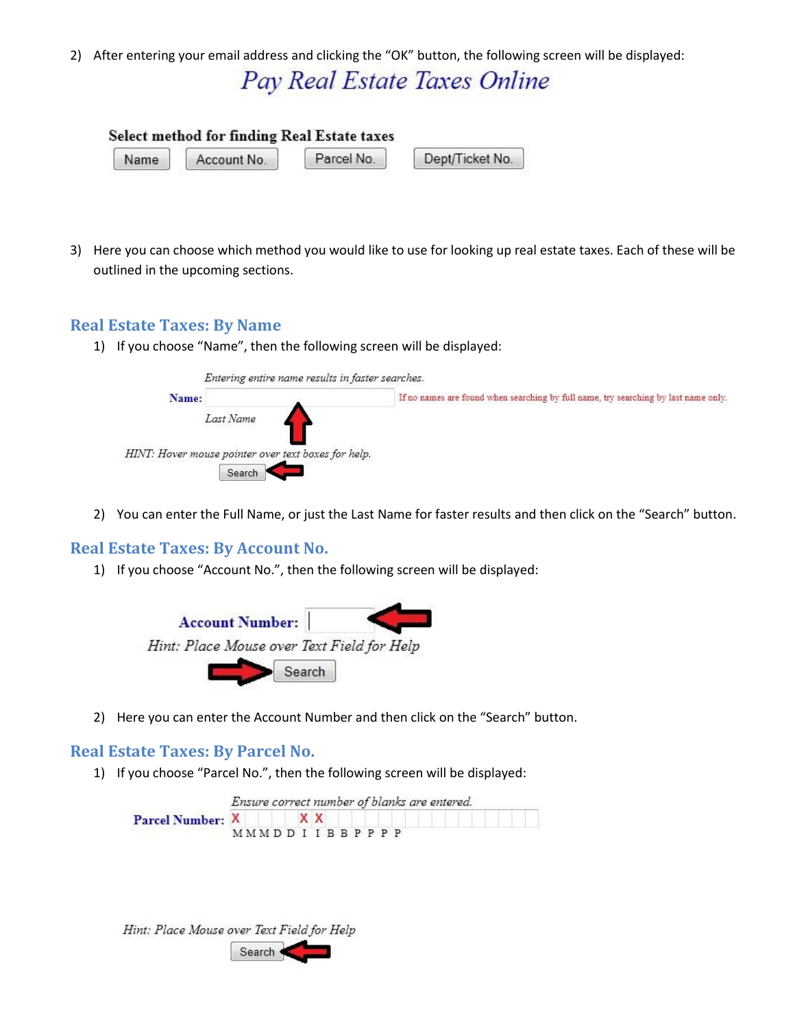2) After entering your email address and clicking the "OK" button, the following screen will be displayed:

## Pay Real Estate Taxes Online

|      | Select method for finding Real Estate taxes |            |                 |
|------|---------------------------------------------|------------|-----------------|
| Name | Account No.                                 | Parcel No. | Dept/Ticket No. |

3) Here you can choose which method you would like to use for looking up real estate taxes. Each of these will be outlined in the upcoming sections.

#### **Real Estate Taxes: By Name**

1) If you choose "Name", then the following screen will be displayed:



2) You can enter the Full Name, or just the Last Name for faster results and then click on the "Search" button.

#### **Real Estate Taxes: By Account No.**

1) If you choose "Account No.", then the following screen will be displayed:



2) Here you can enter the Account Number and then click on the "Search" button.

#### **Real Estate Taxes: By Parcel No.**

1) If you choose "Parcel No.", then the following screen will be displayed:

|                  |                      |    |  |  | Ensure correct number of blanks are entered. |
|------------------|----------------------|----|--|--|----------------------------------------------|
| Parcel Number: X |                      | XX |  |  |                                              |
|                  | <b>MMMDDIIBBPPPP</b> |    |  |  |                                              |

| Hint: Place Mouse over Text Field for Help |
|--------------------------------------------|
| Search                                     |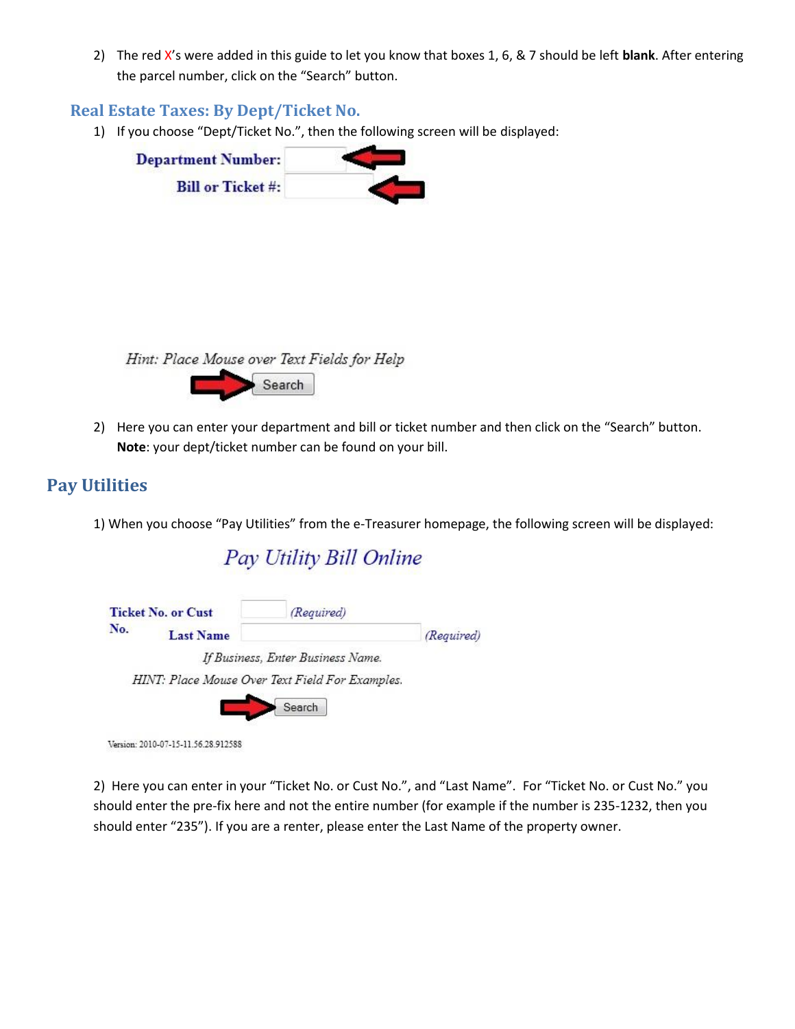2) The red X's were added in this guide to let you know that boxes 1, 6, & 7 should be left **blank**. After entering the parcel number, click on the "Search" button.

#### **Real Estate Taxes: By Dept/Ticket No.**

1) If you choose "Dept/Ticket No.", then the following screen will be displayed:

| <b>Department Number:</b> |  |
|---------------------------|--|
| <b>Bill or Ticket #:</b>  |  |

Hint: Place Mouse over Text Fields for Help Search

2) Here you can enter your department and bill or ticket number and then click on the "Search" button. **Note**: your dept/ticket number can be found on your bill.

## **Pay Utilities**

1) When you choose "Pay Utilities" from the e-Treasurer homepage, the following screen will be displayed:

Pay Utility Bill Online



Version: 2010-07-15-11.56.28.912588

2) Here you can enter in your "Ticket No. or Cust No.", and "Last Name". For "Ticket No. or Cust No." you should enter the pre-fix here and not the entire number (for example if the number is 235-1232, then you should enter "235"). If you are a renter, please enter the Last Name of the property owner.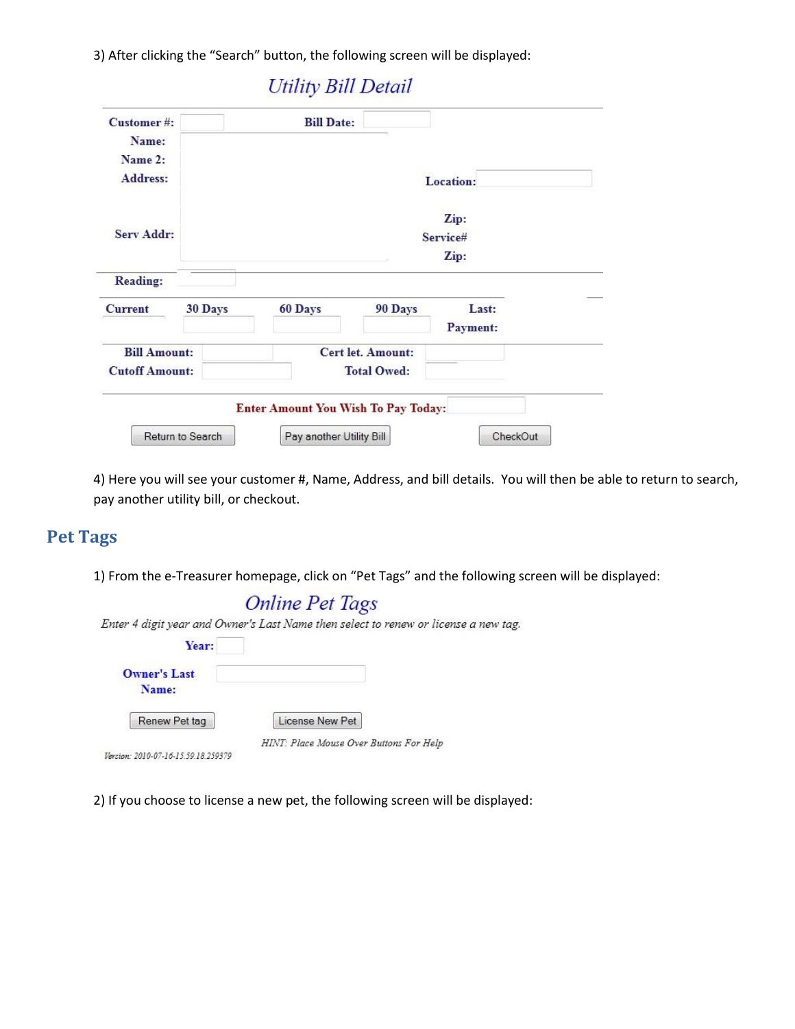3) After clicking the "Search" button, the following screen will be displayed:

| <b>Customer#:</b><br>Name: |         | <b>Bill Date:</b>                   |                          |           |  |
|----------------------------|---------|-------------------------------------|--------------------------|-----------|--|
| Name 2:                    |         |                                     |                          |           |  |
| Address:                   |         |                                     |                          | Location: |  |
|                            |         |                                     |                          | Zip:      |  |
| Serv Addr:                 |         |                                     |                          | Service#  |  |
|                            |         |                                     |                          | Zip:      |  |
| <b>Reading:</b>            |         |                                     |                          |           |  |
| <b>Current</b>             | 30 Days | 60 Days                             | 90 Days                  | Last:     |  |
|                            |         |                                     |                          | Payment:  |  |
| <b>Bill Amount:</b>        |         |                                     | <b>Cert let. Amount:</b> |           |  |
| <b>Cutoff Amount:</b>      |         |                                     | <b>Total Owed:</b>       |           |  |
|                            |         | Enter Amount You Wish To Pay Today: |                          |           |  |

4) Here you will see your customer #, Name, Address, and bill details. You will then be able to return to search, pay another utility bill, or checkout.

## **Pet Tags**

1) From the e-Treasurer homepage, click on "Pet Tags" and the following screen will be displayed:

|                     | Enter 4 digit year and Owner's Last Name then select to renew or license a new tag. |
|---------------------|-------------------------------------------------------------------------------------|
| Year:               |                                                                                     |
| <b>Owner's Last</b> |                                                                                     |
| Name:               |                                                                                     |
| Renew Pet tag       | License New Pet                                                                     |

2) If you choose to license a new pet, the following screen will be displayed: